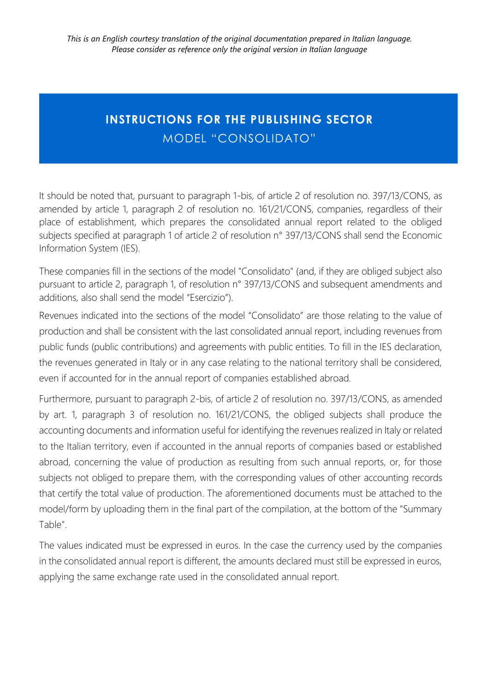### **INSTRUCTIONS FOR THE PUBLISHING SECTOR**  MODEL "CONSOLIDATO"

It should be noted that, pursuant to paragraph 1-bis, of article 2 of resolution no. 397/13/CONS, as amended by article 1, paragraph 2 of resolution no. 161/21/CONS, companies, regardless of their place of establishment, which prepares the consolidated annual report related to the obliged subjects specified at paragraph 1 of article 2 of resolution n° 397/13/CONS shall send the Economic Information System (IES).

These companies fill in the sections of the model "Consolidato" (and, if they are obliged subject also pursuant to article 2, paragraph 1, of resolution n° 397/13/CONS and subsequent amendments and additions, also shall send the model "Esercizio").

Revenues indicated into the sections of the model "Consolidato" are those relating to the value of production and shall be consistent with the last consolidated annual report, including revenues from public funds (public contributions) and agreements with public entities. To fill in the IES declaration, the revenues generated in Italy or in any case relating to the national territory shall be considered, even if accounted for in the annual report of companies established abroad.

Furthermore, pursuant to paragraph 2-bis, of article 2 of resolution no. 397/13/CONS, as amended by art. 1, paragraph 3 of resolution no. 161/21/CONS, the obliged subjects shall produce the accounting documents and information useful for identifying the revenues realized in Italy or related to the Italian territory, even if accounted in the annual reports of companies based or established abroad, concerning the value of production as resulting from such annual reports, or, for those subjects not obliged to prepare them, with the corresponding values of other accounting records that certify the total value of production. The aforementioned documents must be attached to the model/form by uploading them in the final part of the compilation, at the bottom of the "Summary Table".

The values indicated must be expressed in euros. In the case the currency used by the companies in the consolidated annual report is different, the amounts declared must still be expressed in euros, applying the same exchange rate used in the consolidated annual report.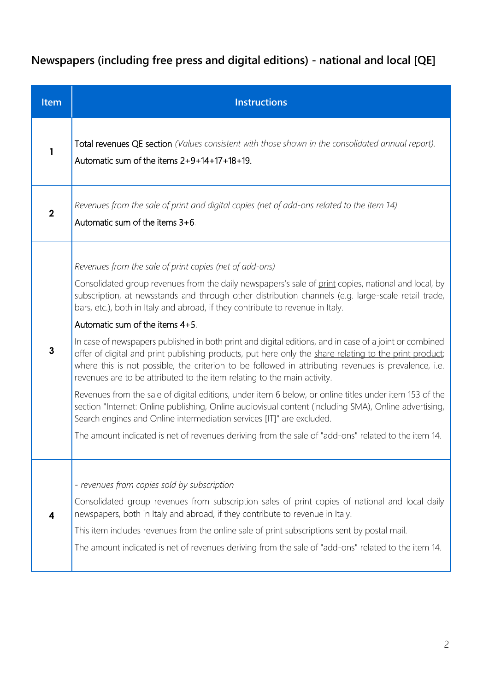## **Newspapers (including free press and digital editions) - national and local [QE]**

| <b>Item</b>  | <b>Instructions</b>                                                                                                                                                                                                                                                                                                                                                                                                                                                                                                                                                                                                                                                                                                                                                                                                                                                                                                                                                                                                                                                                                                                                                                                    |
|--------------|--------------------------------------------------------------------------------------------------------------------------------------------------------------------------------------------------------------------------------------------------------------------------------------------------------------------------------------------------------------------------------------------------------------------------------------------------------------------------------------------------------------------------------------------------------------------------------------------------------------------------------------------------------------------------------------------------------------------------------------------------------------------------------------------------------------------------------------------------------------------------------------------------------------------------------------------------------------------------------------------------------------------------------------------------------------------------------------------------------------------------------------------------------------------------------------------------------|
| 1            | Total revenues QE section (Values consistent with those shown in the consolidated annual report).<br>Automatic sum of the items $2+9+14+17+18+19$ .                                                                                                                                                                                                                                                                                                                                                                                                                                                                                                                                                                                                                                                                                                                                                                                                                                                                                                                                                                                                                                                    |
| $\mathbf 2$  | Revenues from the sale of print and digital copies (net of add-ons related to the item 14)<br>Automatic sum of the items 3+6.                                                                                                                                                                                                                                                                                                                                                                                                                                                                                                                                                                                                                                                                                                                                                                                                                                                                                                                                                                                                                                                                          |
| $\mathbf{3}$ | Revenues from the sale of print copies (net of add-ons)<br>Consolidated group revenues from the daily newspapers's sale of print copies, national and local, by<br>subscription, at newsstands and through other distribution channels (e.g. large-scale retail trade,<br>bars, etc.), both in Italy and abroad, if they contribute to revenue in Italy.<br>Automatic sum of the items 4+5.<br>In case of newspapers published in both print and digital editions, and in case of a joint or combined<br>offer of digital and print publishing products, put here only the share relating to the print product;<br>where this is not possible, the criterion to be followed in attributing revenues is prevalence, i.e.<br>revenues are to be attributed to the item relating to the main activity.<br>Revenues from the sale of digital editions, under item 6 below, or online titles under item 153 of the<br>section "Internet: Online publishing, Online audiovisual content (including SMA), Online advertising,<br>Search engines and Online intermediation services [IT]" are excluded.<br>The amount indicated is net of revenues deriving from the sale of "add-ons" related to the item 14. |
| 4            | - revenues from copies sold by subscription<br>Consolidated group revenues from subscription sales of print copies of national and local daily<br>newspapers, both in Italy and abroad, if they contribute to revenue in Italy.<br>This item includes revenues from the online sale of print subscriptions sent by postal mail.<br>The amount indicated is net of revenues deriving from the sale of "add-ons" related to the item 14.                                                                                                                                                                                                                                                                                                                                                                                                                                                                                                                                                                                                                                                                                                                                                                 |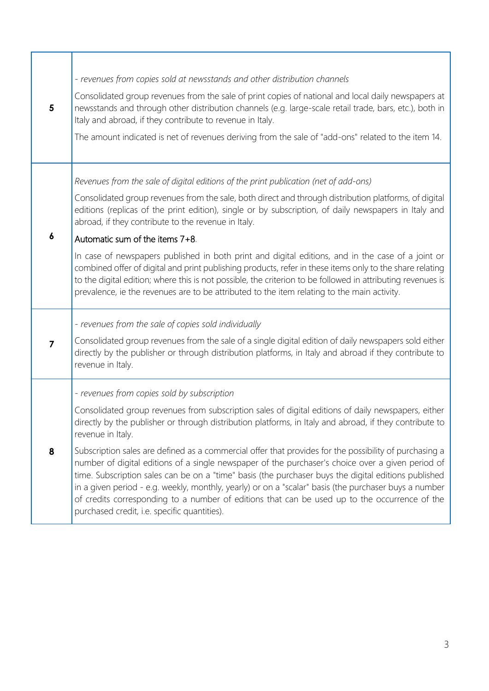| 5                | - revenues from copies sold at newsstands and other distribution channels<br>Consolidated group revenues from the sale of print copies of national and local daily newspapers at<br>newsstands and through other distribution channels (e.g. large-scale retail trade, bars, etc.), both in<br>Italy and abroad, if they contribute to revenue in Italy.<br>The amount indicated is net of revenues deriving from the sale of "add-ons" related to the item 14.                                                                                                                                                                                                                                                                                                                                                                                                     |
|------------------|---------------------------------------------------------------------------------------------------------------------------------------------------------------------------------------------------------------------------------------------------------------------------------------------------------------------------------------------------------------------------------------------------------------------------------------------------------------------------------------------------------------------------------------------------------------------------------------------------------------------------------------------------------------------------------------------------------------------------------------------------------------------------------------------------------------------------------------------------------------------|
| $\boldsymbol{6}$ | Revenues from the sale of digital editions of the print publication (net of add-ons)<br>Consolidated group revenues from the sale, both direct and through distribution platforms, of digital<br>editions (replicas of the print edition), single or by subscription, of daily newspapers in Italy and<br>abroad, if they contribute to the revenue in Italy.<br>Automatic sum of the items 7+8.<br>In case of newspapers published in both print and digital editions, and in the case of a joint or<br>combined offer of digital and print publishing products, refer in these items only to the share relating<br>to the digital edition; where this is not possible, the criterion to be followed in attributing revenues is<br>prevalence, ie the revenues are to be attributed to the item relating to the main activity.                                     |
| $\overline{7}$   | - revenues from the sale of copies sold individually<br>Consolidated group revenues from the sale of a single digital edition of daily newspapers sold either<br>directly by the publisher or through distribution platforms, in Italy and abroad if they contribute to<br>revenue in Italy.                                                                                                                                                                                                                                                                                                                                                                                                                                                                                                                                                                        |
| 8                | - revenues from copies sold by subscription<br>Consolidated group revenues from subscription sales of digital editions of daily newspapers, either<br>directly by the publisher or through distribution platforms, in Italy and abroad, if they contribute to<br>revenue in Italy.<br>Subscription sales are defined as a commercial offer that provides for the possibility of purchasing a<br>number of digital editions of a single newspaper of the purchaser's choice over a given period of<br>time. Subscription sales can be on a "time" basis (the purchaser buys the digital editions published<br>in a given period - e.g. weekly, monthly, yearly) or on a "scalar" basis (the purchaser buys a number<br>of credits corresponding to a number of editions that can be used up to the occurrence of the<br>purchased credit, i.e. specific quantities). |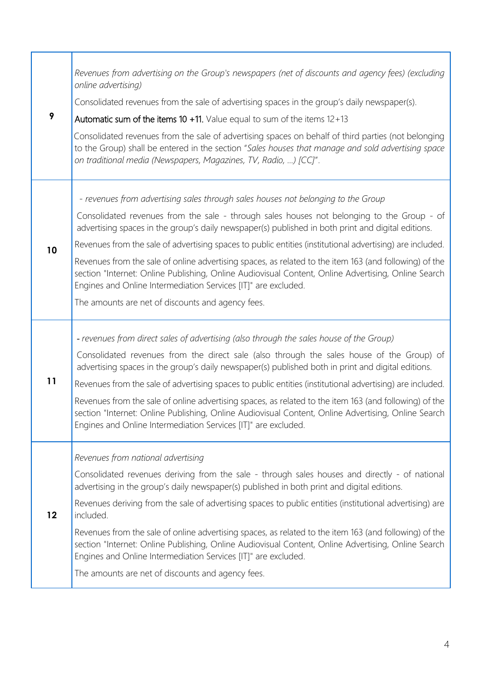| online advertising)            | Revenues from advertising on the Group's newspapers (net of discounts and agency fees) (excluding<br>Consolidated revenues from the sale of advertising spaces in the group's daily newspaper(s).                                                                               |
|--------------------------------|---------------------------------------------------------------------------------------------------------------------------------------------------------------------------------------------------------------------------------------------------------------------------------|
| 9                              | Automatic sum of the items 10 $+11$ . Value equal to sum of the items 12+13                                                                                                                                                                                                     |
|                                | Consolidated revenues from the sale of advertising spaces on behalf of third parties (not belonging<br>to the Group) shall be entered in the section "Sales houses that manage and sold advertising space<br>on traditional media (Newspapers, Magazines, TV, Radio, ) [CC]".   |
|                                | - revenues from advertising sales through sales houses not belonging to the Group                                                                                                                                                                                               |
|                                | Consolidated revenues from the sale - through sales houses not belonging to the Group - of<br>advertising spaces in the group's daily newspaper(s) published in both print and digital editions.                                                                                |
| 10                             | Revenues from the sale of advertising spaces to public entities (institutional advertising) are included.                                                                                                                                                                       |
|                                | Revenues from the sale of online advertising spaces, as related to the item 163 (and following) of the<br>section "Internet: Online Publishing, Online Audiovisual Content, Online Advertising, Online Search<br>Engines and Online Intermediation Services [IT]" are excluded. |
|                                | The amounts are net of discounts and agency fees.                                                                                                                                                                                                                               |
|                                | - revenues from direct sales of advertising (also through the sales house of the Group)                                                                                                                                                                                         |
|                                | Consolidated revenues from the direct sale (also through the sales house of the Group) of<br>advertising spaces in the group's daily newspaper(s) published both in print and digital editions.                                                                                 |
| 11                             | Revenues from the sale of advertising spaces to public entities (institutional advertising) are included.                                                                                                                                                                       |
|                                | Revenues from the sale of online advertising spaces, as related to the item 163 (and following) of the<br>section "Internet: Online Publishing, Online Audiovisual Content, Online Advertising, Online Search<br>Engines and Online Intermediation Services [IT]" are excluded. |
|                                | Revenues from national advertising                                                                                                                                                                                                                                              |
|                                | Consolidated revenues deriving from the sale - through sales houses and directly - of national<br>advertising in the group's daily newspaper(s) published in both print and digital editions.                                                                                   |
| $12 \overline{ }$<br>included. | Revenues deriving from the sale of advertising spaces to public entities (institutional advertising) are                                                                                                                                                                        |
|                                | Revenues from the sale of online advertising spaces, as related to the item 163 (and following) of the<br>section "Internet: Online Publishing, Online Audiovisual Content, Online Advertising, Online Search<br>Engines and Online Intermediation Services [IT]" are excluded. |
|                                | The amounts are net of discounts and agency fees.                                                                                                                                                                                                                               |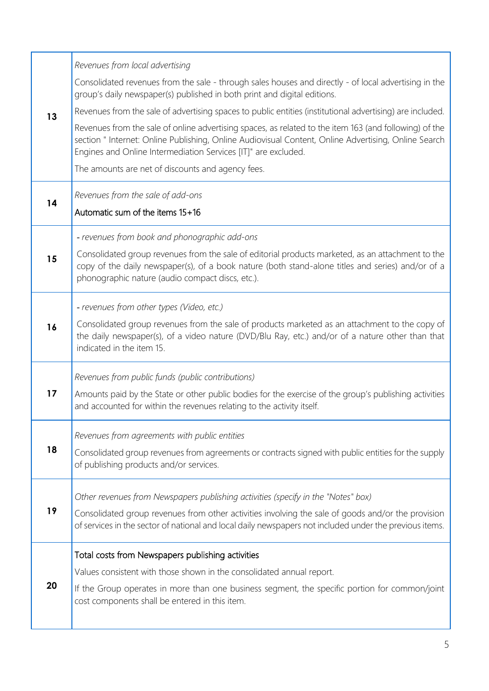|    | Revenues from local advertising                                                                                                                                                                                                                                                  |
|----|----------------------------------------------------------------------------------------------------------------------------------------------------------------------------------------------------------------------------------------------------------------------------------|
| 13 | Consolidated revenues from the sale - through sales houses and directly - of local advertising in the<br>group's daily newspaper(s) published in both print and digital editions.                                                                                                |
|    | Revenues from the sale of advertising spaces to public entities (institutional advertising) are included.                                                                                                                                                                        |
|    | Revenues from the sale of online advertising spaces, as related to the item 163 (and following) of the<br>section " Internet: Online Publishing, Online Audiovisual Content, Online Advertising, Online Search<br>Engines and Online Intermediation Services [IT]" are excluded. |
|    | The amounts are net of discounts and agency fees.                                                                                                                                                                                                                                |
| 14 | Revenues from the sale of add-ons                                                                                                                                                                                                                                                |
|    | Automatic sum of the items 15+16                                                                                                                                                                                                                                                 |
|    | - revenues from book and phonographic add-ons                                                                                                                                                                                                                                    |
| 15 | Consolidated group revenues from the sale of editorial products marketed, as an attachment to the<br>copy of the daily newspaper(s), of a book nature (both stand-alone titles and series) and/or of a<br>phonographic nature (audio compact discs, etc.).                       |
|    | - revenues from other types (Video, etc.)                                                                                                                                                                                                                                        |
| 16 | Consolidated group revenues from the sale of products marketed as an attachment to the copy of<br>the daily newspaper(s), of a video nature (DVD/Blu Ray, etc.) and/or of a nature other than that<br>indicated in the item 15.                                                  |
|    | Revenues from public funds (public contributions)                                                                                                                                                                                                                                |
| 17 | Amounts paid by the State or other public bodies for the exercise of the group's publishing activities<br>and accounted for within the revenues relating to the activity itself.                                                                                                 |
|    | Revenues from agreements with public entities                                                                                                                                                                                                                                    |
| 18 | Consolidated group revenues from agreements or contracts signed with public entities for the supply<br>of publishing products and/or services.                                                                                                                                   |
|    | Other revenues from Newspapers publishing activities (specify in the "Notes" box)                                                                                                                                                                                                |
| 19 | Consolidated group revenues from other activities involving the sale of goods and/or the provision<br>of services in the sector of national and local daily newspapers not included under the previous items.                                                                    |
|    | Total costs from Newspapers publishing activities                                                                                                                                                                                                                                |
|    | Values consistent with those shown in the consolidated annual report.                                                                                                                                                                                                            |
| 20 | If the Group operates in more than one business segment, the specific portion for common/joint<br>cost components shall be entered in this item.                                                                                                                                 |
|    |                                                                                                                                                                                                                                                                                  |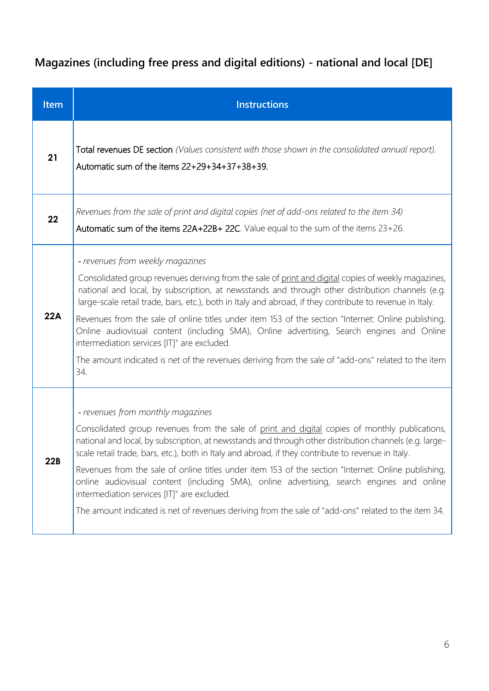## **Magazines (including free press and digital editions) - national and local [DE]**

| Item | <b>Instructions</b>                                                                                                                                                                                                                                                                                                                                                                                                                                                                                                                                                                                                                                                                                                      |
|------|--------------------------------------------------------------------------------------------------------------------------------------------------------------------------------------------------------------------------------------------------------------------------------------------------------------------------------------------------------------------------------------------------------------------------------------------------------------------------------------------------------------------------------------------------------------------------------------------------------------------------------------------------------------------------------------------------------------------------|
| 21   | Total revenues DE section (Values consistent with those shown in the consolidated annual report).<br>Automatic sum of the items $22+29+34+37+38+39$ .                                                                                                                                                                                                                                                                                                                                                                                                                                                                                                                                                                    |
| 22   | Revenues from the sale of print and digital copies (net of add-ons related to the item 34)<br>Automatic sum of the items 22A+22B+ 22C. Value equal to the sum of the items 23+26.                                                                                                                                                                                                                                                                                                                                                                                                                                                                                                                                        |
| 22A  | - revenues from weekly magazines<br>Consolidated group revenues deriving from the sale of print and digital copies of weekly magazines,<br>national and local, by subscription, at newsstands and through other distribution channels (e.g.<br>large-scale retail trade, bars, etc.), both in Italy and abroad, if they contribute to revenue in Italy.<br>Revenues from the sale of online titles under item 153 of the section "Internet: Online publishing,<br>Online audiovisual content (including SMA), Online advertising, Search engines and Online<br>intermediation services [IT]" are excluded.<br>The amount indicated is net of the revenues deriving from the sale of "add-ons" related to the item<br>34. |
| 22B  | - revenues from monthly magazines<br>Consolidated group revenues from the sale of print and digital copies of monthly publications,<br>national and local, by subscription, at newsstands and through other distribution channels (e.g. large-<br>scale retail trade, bars, etc.), both in Italy and abroad, if they contribute to revenue in Italy.<br>Revenues from the sale of online titles under item 153 of the section "Internet: Online publishing,<br>online audiovisual content (including SMA), online advertising, search engines and online<br>intermediation services [IT]" are excluded.<br>The amount indicated is net of revenues deriving from the sale of "add-ons" related to the item 34.           |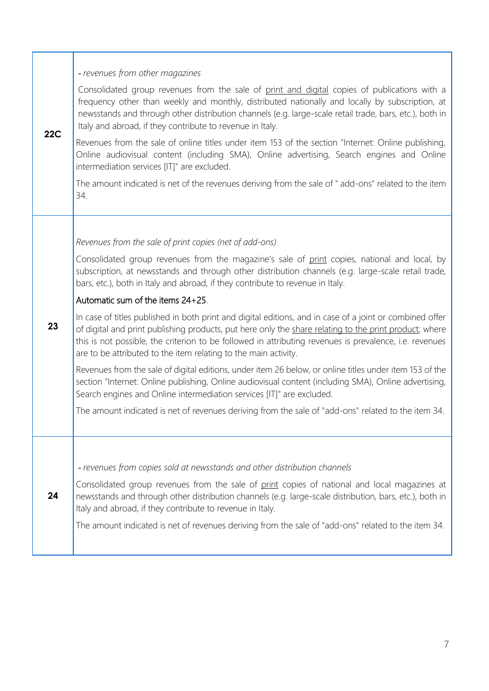| 22C | - revenues from other magazines                                                                                                                                                                                                                                                                                                                                                                  |
|-----|--------------------------------------------------------------------------------------------------------------------------------------------------------------------------------------------------------------------------------------------------------------------------------------------------------------------------------------------------------------------------------------------------|
|     | Consolidated group revenues from the sale of print and digital copies of publications with a<br>frequency other than weekly and monthly, distributed nationally and locally by subscription, at<br>newsstands and through other distribution channels (e.g. large-scale retail trade, bars, etc.), both in<br>Italy and abroad, if they contribute to revenue in Italy.                          |
|     | Revenues from the sale of online titles under item 153 of the section "Internet: Online publishing,<br>Online audiovisual content (including SMA), Online advertising, Search engines and Online<br>intermediation services [IT]" are excluded.                                                                                                                                                  |
|     | The amount indicated is net of the revenues deriving from the sale of " add-ons" related to the item<br>34.                                                                                                                                                                                                                                                                                      |
|     |                                                                                                                                                                                                                                                                                                                                                                                                  |
|     | Revenues from the sale of print copies (net of add-ons)                                                                                                                                                                                                                                                                                                                                          |
|     | Consolidated group revenues from the magazine's sale of print copies, national and local, by<br>subscription, at newsstands and through other distribution channels (e.g. large-scale retail trade,<br>bars, etc.), both in Italy and abroad, if they contribute to revenue in Italy.                                                                                                            |
|     | Automatic sum of the items 24+25.                                                                                                                                                                                                                                                                                                                                                                |
| 23  | In case of titles published in both print and digital editions, and in case of a joint or combined offer<br>of digital and print publishing products, put here only the share relating to the print product; where<br>this is not possible, the criterion to be followed in attributing revenues is prevalence, i.e. revenues<br>are to be attributed to the item relating to the main activity. |
|     | Revenues from the sale of digital editions, under item 26 below, or online titles under item 153 of the<br>section "Internet: Online publishing, Online audiovisual content (including SMA), Online advertising,<br>Search engines and Online intermediation services [IT]" are excluded.                                                                                                        |
|     | The amount indicated is net of revenues deriving from the sale of "add-ons" related to the item 34.                                                                                                                                                                                                                                                                                              |
|     |                                                                                                                                                                                                                                                                                                                                                                                                  |
|     | - revenues from copies sold at newsstands and other distribution channels                                                                                                                                                                                                                                                                                                                        |
| 24  | Consolidated group revenues from the sale of print copies of national and local magazines at<br>newsstands and through other distribution channels (e.g. large-scale distribution, bars, etc.), both in<br>Italy and abroad, if they contribute to revenue in Italy.                                                                                                                             |
|     | The amount indicated is net of revenues deriving from the sale of "add-ons" related to the item 34.                                                                                                                                                                                                                                                                                              |

1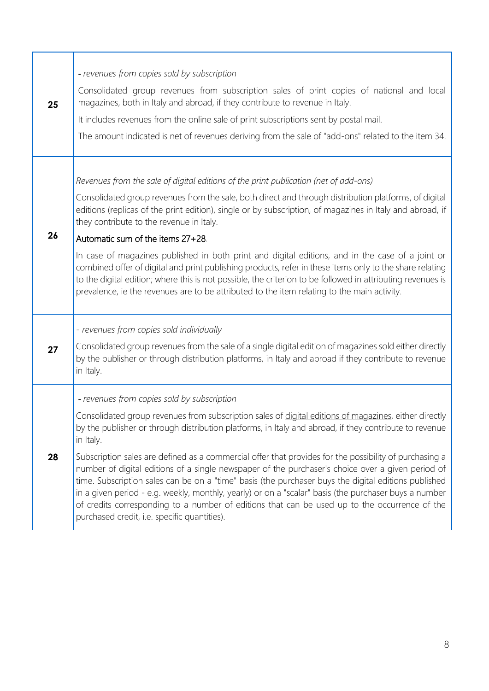|    | - revenues from copies sold by subscription                                                                                                                                                                                                                                                                                                                                                                                                                                                                                                                                   |
|----|-------------------------------------------------------------------------------------------------------------------------------------------------------------------------------------------------------------------------------------------------------------------------------------------------------------------------------------------------------------------------------------------------------------------------------------------------------------------------------------------------------------------------------------------------------------------------------|
| 25 | Consolidated group revenues from subscription sales of print copies of national and local<br>magazines, both in Italy and abroad, if they contribute to revenue in Italy.                                                                                                                                                                                                                                                                                                                                                                                                     |
|    | It includes revenues from the online sale of print subscriptions sent by postal mail.                                                                                                                                                                                                                                                                                                                                                                                                                                                                                         |
|    | The amount indicated is net of revenues deriving from the sale of "add-ons" related to the item 34.                                                                                                                                                                                                                                                                                                                                                                                                                                                                           |
|    |                                                                                                                                                                                                                                                                                                                                                                                                                                                                                                                                                                               |
|    | Revenues from the sale of digital editions of the print publication (net of add-ons)                                                                                                                                                                                                                                                                                                                                                                                                                                                                                          |
|    | Consolidated group revenues from the sale, both direct and through distribution platforms, of digital<br>editions (replicas of the print edition), single or by subscription, of magazines in Italy and abroad, if<br>they contribute to the revenue in Italy.                                                                                                                                                                                                                                                                                                                |
| 26 | Automatic sum of the items 27+28.                                                                                                                                                                                                                                                                                                                                                                                                                                                                                                                                             |
|    | In case of magazines published in both print and digital editions, and in the case of a joint or<br>combined offer of digital and print publishing products, refer in these items only to the share relating<br>to the digital edition; where this is not possible, the criterion to be followed in attributing revenues is<br>prevalence, ie the revenues are to be attributed to the item relating to the main activity.                                                                                                                                                    |
|    | - revenues from copies sold individually                                                                                                                                                                                                                                                                                                                                                                                                                                                                                                                                      |
| 27 | Consolidated group revenues from the sale of a single digital edition of magazines sold either directly<br>by the publisher or through distribution platforms, in Italy and abroad if they contribute to revenue<br>in Italy.                                                                                                                                                                                                                                                                                                                                                 |
|    | - revenues from copies sold by subscription                                                                                                                                                                                                                                                                                                                                                                                                                                                                                                                                   |
| 28 | Consolidated group revenues from subscription sales of digital editions of magazines, either directly<br>by the publisher or through distribution platforms, in Italy and abroad, if they contribute to revenue<br>in Italy.                                                                                                                                                                                                                                                                                                                                                  |
|    | Subscription sales are defined as a commercial offer that provides for the possibility of purchasing a<br>number of digital editions of a single newspaper of the purchaser's choice over a given period of<br>time. Subscription sales can be on a "time" basis (the purchaser buys the digital editions published<br>in a given period - e.g. weekly, monthly, yearly) or on a "scalar" basis (the purchaser buys a number<br>of credits corresponding to a number of editions that can be used up to the occurrence of the<br>purchased credit, i.e. specific quantities). |
|    |                                                                                                                                                                                                                                                                                                                                                                                                                                                                                                                                                                               |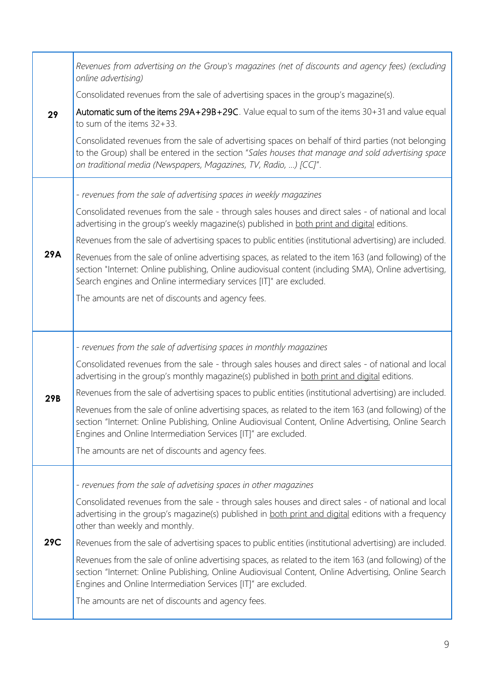|            | Revenues from advertising on the Group's magazines (net of discounts and agency fees) (excluding<br>online advertising)                                                                                                                                                                |
|------------|----------------------------------------------------------------------------------------------------------------------------------------------------------------------------------------------------------------------------------------------------------------------------------------|
|            | Consolidated revenues from the sale of advertising spaces in the group's magazine(s).                                                                                                                                                                                                  |
| 29         | Automatic sum of the items 29A+29B+29C. Value equal to sum of the items 30+31 and value equal<br>to sum of the items 32+33.                                                                                                                                                            |
|            | Consolidated revenues from the sale of advertising spaces on behalf of third parties (not belonging<br>to the Group) shall be entered in the section "Sales houses that manage and sold advertising space<br>on traditional media (Newspapers, Magazines, TV, Radio, ) [CC]".          |
|            | - revenues from the sale of advertising spaces in weekly magazines                                                                                                                                                                                                                     |
|            | Consolidated revenues from the sale - through sales houses and direct sales - of national and local<br>advertising in the group's weekly magazine(s) published in both print and digital editions.                                                                                     |
|            | Revenues from the sale of advertising spaces to public entities (institutional advertising) are included.                                                                                                                                                                              |
| 29A        | Revenues from the sale of online advertising spaces, as related to the item 163 (and following) of the<br>section "Internet: Online publishing, Online audiovisual content (including SMA), Online advertising,<br>Search engines and Online intermediary services [IT]" are excluded. |
|            | The amounts are net of discounts and agency fees.                                                                                                                                                                                                                                      |
|            |                                                                                                                                                                                                                                                                                        |
|            | - revenues from the sale of advertising spaces in monthly magazines                                                                                                                                                                                                                    |
|            | Consolidated revenues from the sale - through sales houses and direct sales - of national and local<br>advertising in the group's monthly magazine(s) published in both print and digital editions.                                                                                    |
| 29B        | Revenues from the sale of advertising spaces to public entities (institutional advertising) are included.                                                                                                                                                                              |
|            | Revenues from the sale of online advertising spaces, as related to the item 163 (and following) of the<br>section "Internet: Online Publishing, Online Audiovisual Content, Online Advertising, Online Search<br>Engines and Online Intermediation Services [IT]" are excluded.        |
|            | The amounts are net of discounts and agency fees.                                                                                                                                                                                                                                      |
|            | - revenues from the sale of advetising spaces in other magazines                                                                                                                                                                                                                       |
|            | Consolidated revenues from the sale - through sales houses and direct sales - of national and local<br>advertising in the group's magazine(s) published in both print and digital editions with a frequency<br>other than weekly and monthly.                                          |
| <b>29C</b> | Revenues from the sale of advertising spaces to public entities (institutional advertising) are included.                                                                                                                                                                              |
|            | Revenues from the sale of online advertising spaces, as related to the item 163 (and following) of the<br>section "Internet: Online Publishing, Online Audiovisual Content, Online Advertising, Online Search<br>Engines and Online Intermediation Services [IT]" are excluded.        |
|            |                                                                                                                                                                                                                                                                                        |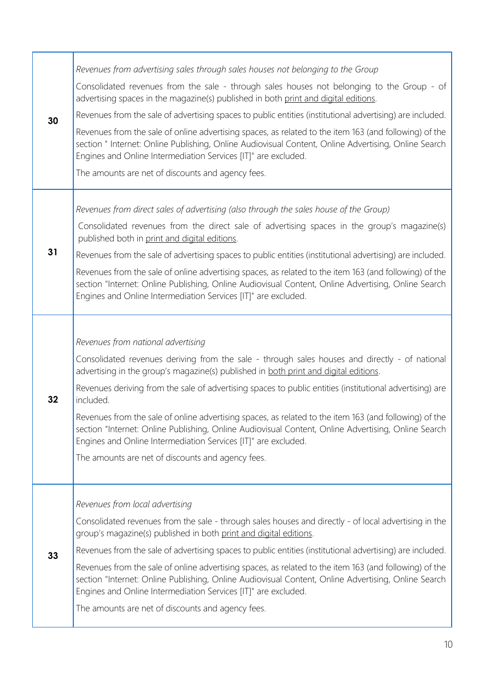| 30 | Revenues from advertising sales through sales houses not belonging to the Group                                                                                                                                                                                                  |
|----|----------------------------------------------------------------------------------------------------------------------------------------------------------------------------------------------------------------------------------------------------------------------------------|
|    | Consolidated revenues from the sale - through sales houses not belonging to the Group - of<br>advertising spaces in the magazine(s) published in both print and digital editions.                                                                                                |
|    | Revenues from the sale of advertising spaces to public entities (institutional advertising) are included.                                                                                                                                                                        |
|    | Revenues from the sale of online advertising spaces, as related to the item 163 (and following) of the<br>section " Internet: Online Publishing, Online Audiovisual Content, Online Advertising, Online Search<br>Engines and Online Intermediation Services [IT]" are excluded. |
|    | The amounts are net of discounts and agency fees.                                                                                                                                                                                                                                |
|    |                                                                                                                                                                                                                                                                                  |
|    | Revenues from direct sales of advertising (also through the sales house of the Group)                                                                                                                                                                                            |
|    | Consolidated revenues from the direct sale of advertising spaces in the group's magazine(s)<br>published both in print and digital editions.                                                                                                                                     |
| 31 | Revenues from the sale of advertising spaces to public entities (institutional advertising) are included.                                                                                                                                                                        |
|    | Revenues from the sale of online advertising spaces, as related to the item 163 (and following) of the<br>section "Internet: Online Publishing, Online Audiovisual Content, Online Advertising, Online Search<br>Engines and Online Intermediation Services [IT]" are excluded.  |
|    |                                                                                                                                                                                                                                                                                  |
|    |                                                                                                                                                                                                                                                                                  |
|    | Revenues from national advertising                                                                                                                                                                                                                                               |
|    | Consolidated revenues deriving from the sale - through sales houses and directly - of national<br>advertising in the group's magazine(s) published in both print and digital editions.                                                                                           |
| 32 | Revenues deriving from the sale of advertising spaces to public entities (institutional advertising) are<br>included.                                                                                                                                                            |
|    | Revenues from the sale of online advertising spaces, as related to the item 163 (and following) of the<br>section "Internet: Online Publishing, Online Audiovisual Content, Online Advertising, Online Search<br>Engines and Online Intermediation Services [IT]" are excluded.  |
|    | The amounts are net of discounts and agency fees.                                                                                                                                                                                                                                |
|    |                                                                                                                                                                                                                                                                                  |
|    | Revenues from local advertising                                                                                                                                                                                                                                                  |
|    | Consolidated revenues from the sale - through sales houses and directly - of local advertising in the<br>group's magazine(s) published in both print and digital editions.                                                                                                       |
| 33 | Revenues from the sale of advertising spaces to public entities (institutional advertising) are included.                                                                                                                                                                        |
|    | Revenues from the sale of online advertising spaces, as related to the item 163 (and following) of the<br>section "Internet: Online Publishing, Online Audiovisual Content, Online Advertising, Online Search<br>Engines and Online Intermediation Services [IT]" are excluded.  |
|    | The amounts are net of discounts and agency fees.                                                                                                                                                                                                                                |
|    |                                                                                                                                                                                                                                                                                  |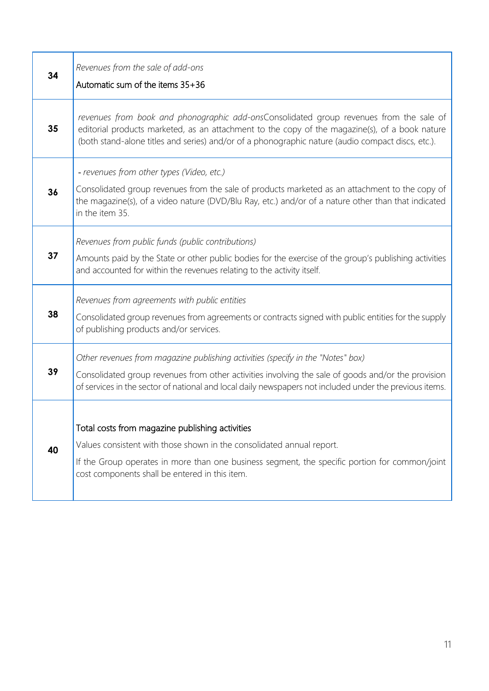| 34 | Revenues from the sale of add-ons<br>Automatic sum of the items 35+36                                                                                                                                                                                                                          |
|----|------------------------------------------------------------------------------------------------------------------------------------------------------------------------------------------------------------------------------------------------------------------------------------------------|
| 35 | revenues from book and phonographic add-onsConsolidated group revenues from the sale of<br>editorial products marketed, as an attachment to the copy of the magazine(s), of a book nature<br>(both stand-alone titles and series) and/or of a phonographic nature (audio compact discs, etc.). |
|    | - revenues from other types (Video, etc.)                                                                                                                                                                                                                                                      |
| 36 | Consolidated group revenues from the sale of products marketed as an attachment to the copy of<br>the magazine(s), of a video nature (DVD/Blu Ray, etc.) and/or of a nature other than that indicated<br>in the item 35.                                                                       |
|    | Revenues from public funds (public contributions)                                                                                                                                                                                                                                              |
| 37 | Amounts paid by the State or other public bodies for the exercise of the group's publishing activities<br>and accounted for within the revenues relating to the activity itself.                                                                                                               |
|    | Revenues from agreements with public entities                                                                                                                                                                                                                                                  |
| 38 | Consolidated group revenues from agreements or contracts signed with public entities for the supply<br>of publishing products and/or services.                                                                                                                                                 |
|    | Other revenues from magazine publishing activities (specify in the "Notes" box)                                                                                                                                                                                                                |
| 39 | Consolidated group revenues from other activities involving the sale of goods and/or the provision<br>of services in the sector of national and local daily newspapers not included under the previous items.                                                                                  |
|    |                                                                                                                                                                                                                                                                                                |
| 40 | Total costs from magazine publishing activities                                                                                                                                                                                                                                                |
|    | Values consistent with those shown in the consolidated annual report.<br>If the Group operates in more than one business segment, the specific portion for common/joint                                                                                                                        |
|    | cost components shall be entered in this item.                                                                                                                                                                                                                                                 |
|    |                                                                                                                                                                                                                                                                                                |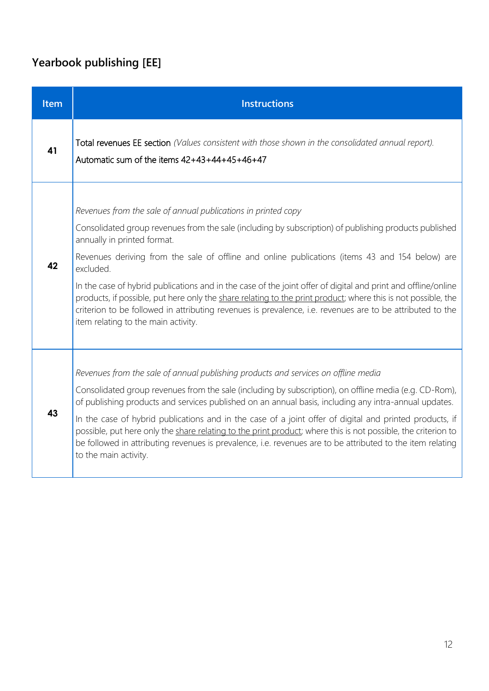# **Yearbook publishing [EE]**

| <b>Item</b> | <b>Instructions</b>                                                                                                                                                                                                                                                                                                                                                                                                                                                                                                                                                                                                                                                                                          |
|-------------|--------------------------------------------------------------------------------------------------------------------------------------------------------------------------------------------------------------------------------------------------------------------------------------------------------------------------------------------------------------------------------------------------------------------------------------------------------------------------------------------------------------------------------------------------------------------------------------------------------------------------------------------------------------------------------------------------------------|
| 41          | Total revenues EE section (Values consistent with those shown in the consolidated annual report).<br>Automatic sum of the items 42+43+44+45+46+47                                                                                                                                                                                                                                                                                                                                                                                                                                                                                                                                                            |
| 42          | Revenues from the sale of annual publications in printed copy<br>Consolidated group revenues from the sale (including by subscription) of publishing products published<br>annually in printed format.<br>Revenues deriving from the sale of offline and online publications (items 43 and 154 below) are<br>excluded.<br>In the case of hybrid publications and in the case of the joint offer of digital and print and offline/online<br>products, if possible, put here only the share relating to the print product; where this is not possible, the<br>criterion to be followed in attributing revenues is prevalence, i.e. revenues are to be attributed to the<br>item relating to the main activity. |
| 43          | Revenues from the sale of annual publishing products and services on offline media<br>Consolidated group revenues from the sale (including by subscription), on offline media (e.g. CD-Rom),<br>of publishing products and services published on an annual basis, including any intra-annual updates.<br>In the case of hybrid publications and in the case of a joint offer of digital and printed products, if<br>possible, put here only the share relating to the print product; where this is not possible, the criterion to<br>be followed in attributing revenues is prevalence, i.e. revenues are to be attributed to the item relating<br>to the main activity.                                     |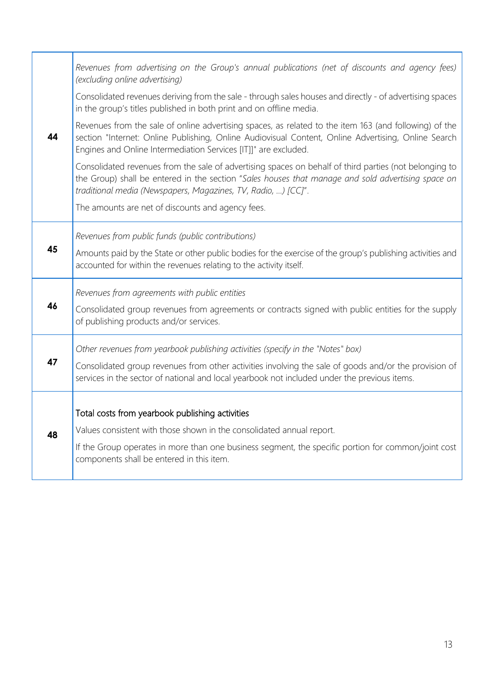|    | Revenues from advertising on the Group's annual publications (net of discounts and agency fees)<br>(excluding online advertising)                                                                                                                                                |
|----|----------------------------------------------------------------------------------------------------------------------------------------------------------------------------------------------------------------------------------------------------------------------------------|
|    | Consolidated revenues deriving from the sale - through sales houses and directly - of advertising spaces<br>in the group's titles published in both print and on offline media.                                                                                                  |
| 44 | Revenues from the sale of online advertising spaces, as related to the item 163 (and following) of the<br>section "Internet: Online Publishing, Online Audiovisual Content, Online Advertising, Online Search<br>Engines and Online Intermediation Services [IT]]" are excluded. |
|    | Consolidated revenues from the sale of advertising spaces on behalf of third parties (not belonging to<br>the Group) shall be entered in the section "Sales houses that manage and sold advertising space on<br>traditional media (Newspapers, Magazines, TV, Radio, ) [CC]".    |
|    | The amounts are net of discounts and agency fees.                                                                                                                                                                                                                                |
|    | Revenues from public funds (public contributions)                                                                                                                                                                                                                                |
| 45 | Amounts paid by the State or other public bodies for the exercise of the group's publishing activities and<br>accounted for within the revenues relating to the activity itself.                                                                                                 |
|    | Revenues from agreements with public entities                                                                                                                                                                                                                                    |
| 46 | Consolidated group revenues from agreements or contracts signed with public entities for the supply<br>of publishing products and/or services.                                                                                                                                   |
|    | Other revenues from yearbook publishing activities (specify in the "Notes" box)                                                                                                                                                                                                  |
| 47 | Consolidated group revenues from other activities involving the sale of goods and/or the provision of<br>services in the sector of national and local yearbook not included under the previous items.                                                                            |
|    | Total costs from yearbook publishing activities                                                                                                                                                                                                                                  |
| 48 | Values consistent with those shown in the consolidated annual report.                                                                                                                                                                                                            |
|    | If the Group operates in more than one business segment, the specific portion for common/joint cost<br>components shall be entered in this item.                                                                                                                                 |
|    |                                                                                                                                                                                                                                                                                  |